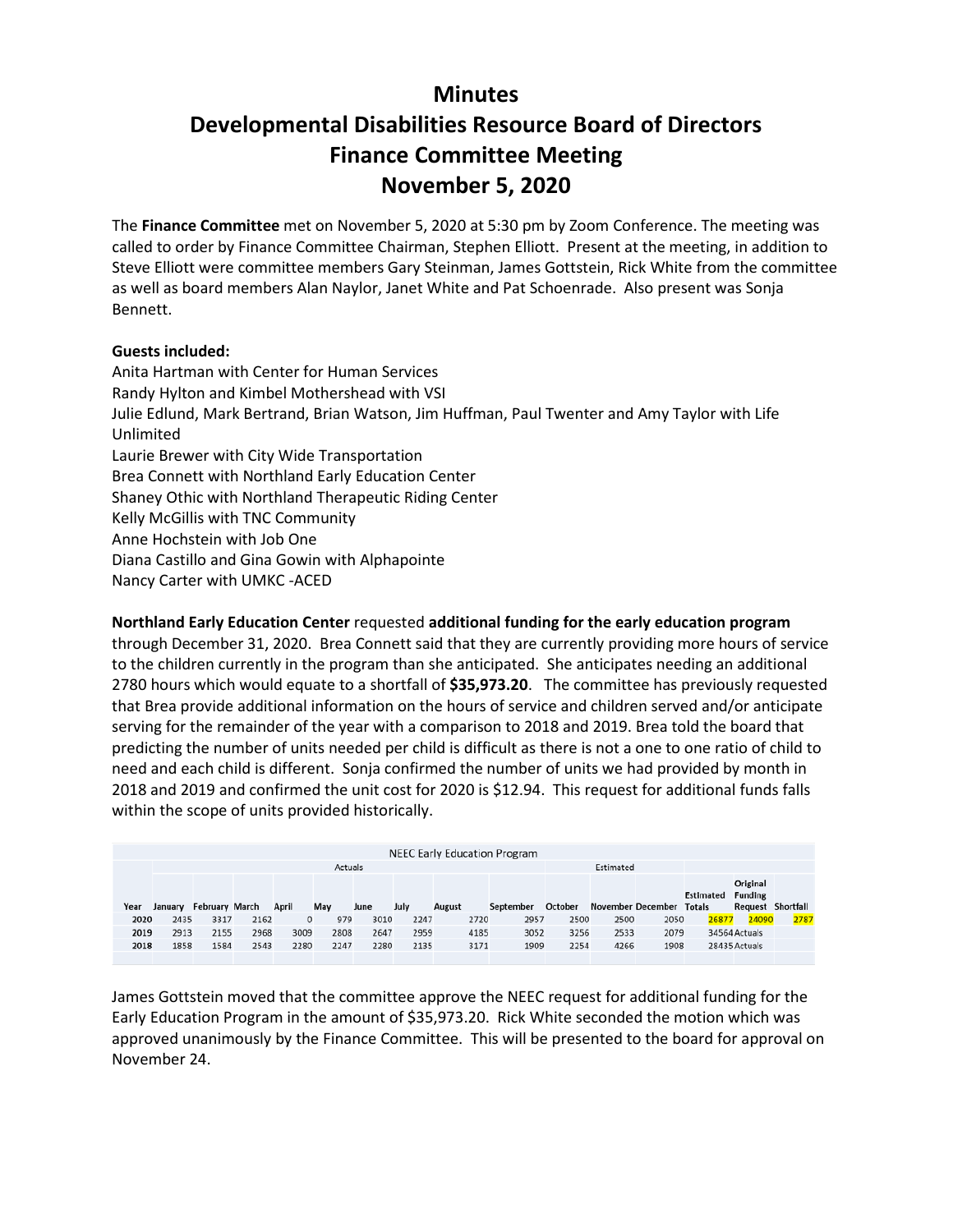# **Minutes**

# **Developmental Disabilities Resource Board of Directors Finance Committee Meeting November 5, 2020**

The **Finance Committee** met on November 5, 2020 at 5:30 pm by Zoom Conference. The meeting was called to order by Finance Committee Chairman, Stephen Elliott. Present at the meeting, in addition to Steve Elliott were committee members Gary Steinman, James Gottstein, Rick White from the committee as well as board members Alan Naylor, Janet White and Pat Schoenrade. Also present was Sonja Bennett.

# **Guests included:**

Anita Hartman with Center for Human Services Randy Hylton and Kimbel Mothershead with VSI Julie Edlund, Mark Bertrand, Brian Watson, Jim Huffman, Paul Twenter and Amy Taylor with Life Unlimited Laurie Brewer with City Wide Transportation Brea Connett with Northland Early Education Center Shaney Othic with Northland Therapeutic Riding Center Kelly McGillis with TNC Community Anne Hochstein with Job One Diana Castillo and Gina Gowin with Alphapointe Nancy Carter with UMKC -ACED

**Northland Early Education Center** requested **additional funding for the early education program** through December 31, 2020. Brea Connett said that they are currently providing more hours of service

to the children currently in the program than she anticipated. She anticipates needing an additional 2780 hours which would equate to a shortfall of **\$35,973.20**. The committee has previously requested that Brea provide additional information on the hours of service and children served and/or anticipate serving for the remainder of the year with a comparison to 2018 and 2019. Brea told the board that predicting the number of units needed per child is difficult as there is not a one to one ratio of child to need and each child is different. Sonja confirmed the number of units we had provided by month in 2018 and 2019 and confirmed the unit cost for 2020 is \$12.94. This request for additional funds falls within the scope of units provided historically.

|      |         |                       |      |       |      |      |      | <b>NEEC Early Education Program</b> |           |         |           |                          |                  |                          |      |
|------|---------|-----------------------|------|-------|------|------|------|-------------------------------------|-----------|---------|-----------|--------------------------|------------------|--------------------------|------|
|      | Actuals |                       |      |       |      |      |      |                                     |           |         | Estimated |                          |                  |                          |      |
|      |         |                       |      |       |      |      |      |                                     |           |         |           |                          |                  |                          |      |
|      |         |                       |      |       |      |      |      |                                     |           |         |           |                          |                  |                          |      |
|      |         |                       |      |       |      |      |      |                                     |           |         |           |                          |                  | Original                 |      |
|      |         |                       |      |       |      |      |      |                                     |           |         |           |                          | <b>Estimated</b> | <b>Funding</b>           |      |
|      |         |                       |      |       |      |      |      |                                     |           |         |           |                          |                  |                          |      |
|      |         |                       |      |       |      |      |      |                                     |           |         |           |                          |                  |                          |      |
| Year | January | <b>February March</b> |      | April | May  | June | July | August                              | September | October |           | November December Totals |                  | <b>Request Shortfall</b> |      |
|      |         |                       |      |       |      |      |      |                                     |           |         |           |                          |                  |                          |      |
| 2020 | 2435    | 3317                  | 2162 | 0     | 979  | 3010 | 2247 | 2720                                | 2957      | 2500    | 2500      | 2050                     | 26877            | 24090                    | 2787 |
|      |         |                       |      |       |      |      |      |                                     |           |         |           |                          |                  |                          |      |
| 2019 | 2913    | 2155                  | 2968 | 3009  | 2808 | 2647 | 2959 | 4185                                | 3052      | 3256    | 2533      | 2079                     |                  | 34564 Actuals            |      |
|      |         |                       |      |       |      |      |      |                                     |           |         |           |                          |                  |                          |      |
| 2018 | 1858    | 1584                  | 2543 | 2280  | 2247 | 2280 | 2135 | 3171                                | 1909      | 2254    | 4266      | 1908                     |                  | 28435 Actuals            |      |

James Gottstein moved that the committee approve the NEEC request for additional funding for the Early Education Program in the amount of \$35,973.20. Rick White seconded the motion which was approved unanimously by the Finance Committee. This will be presented to the board for approval on November 24.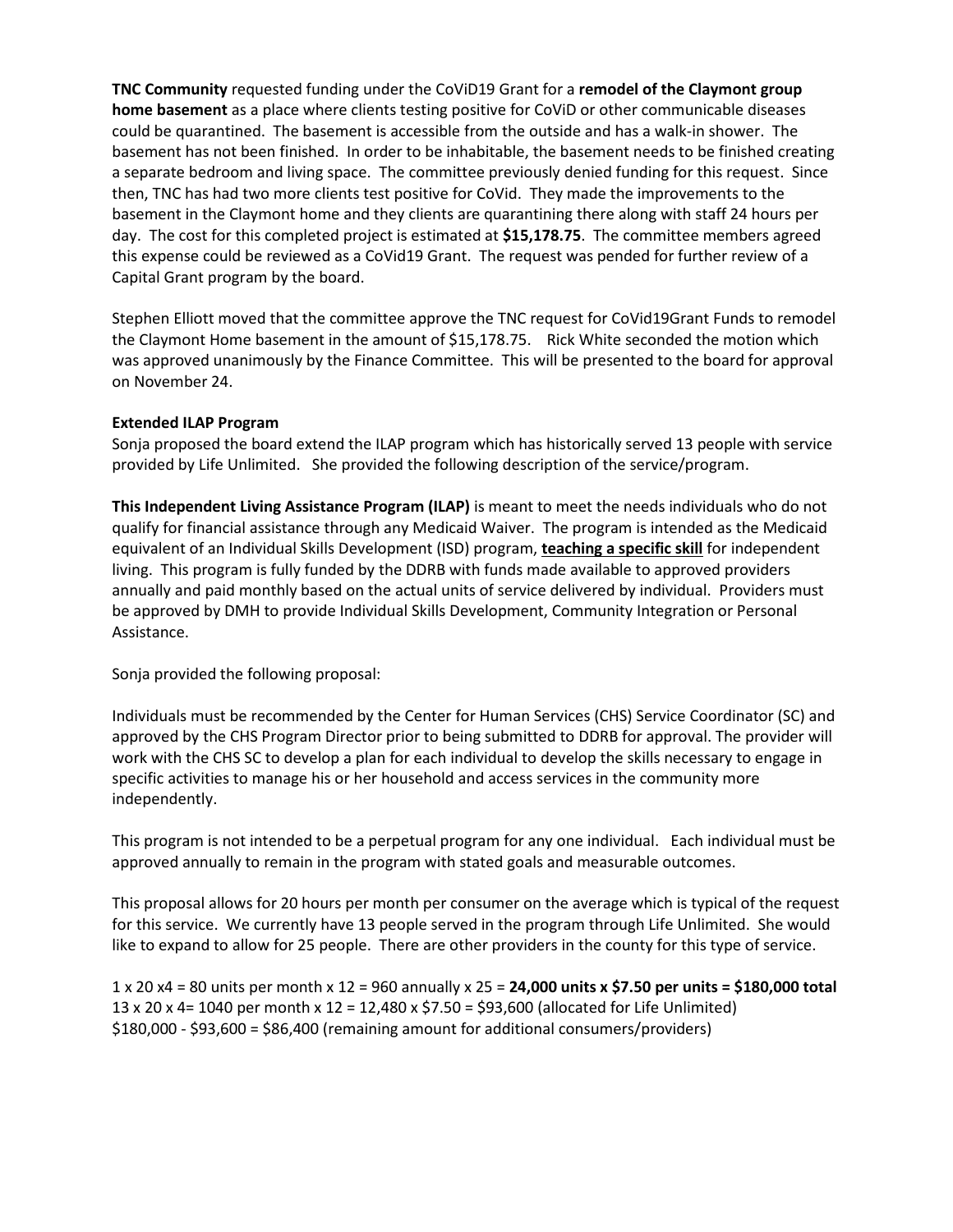**TNC Community** requested funding under the CoViD19 Grant for a **remodel of the Claymont group home basement** as a place where clients testing positive for CoViD or other communicable diseases could be quarantined. The basement is accessible from the outside and has a walk-in shower. The basement has not been finished. In order to be inhabitable, the basement needs to be finished creating a separate bedroom and living space. The committee previously denied funding for this request. Since then, TNC has had two more clients test positive for CoVid. They made the improvements to the basement in the Claymont home and they clients are quarantining there along with staff 24 hours per day. The cost for this completed project is estimated at **\$15,178.75**. The committee members agreed this expense could be reviewed as a CoVid19 Grant. The request was pended for further review of a Capital Grant program by the board.

Stephen Elliott moved that the committee approve the TNC request for CoVid19Grant Funds to remodel the Claymont Home basement in the amount of \$15,178.75. Rick White seconded the motion which was approved unanimously by the Finance Committee. This will be presented to the board for approval on November 24.

# **Extended ILAP Program**

Sonja proposed the board extend the ILAP program which has historically served 13 people with service provided by Life Unlimited. She provided the following description of the service/program.

**This Independent Living Assistance Program (ILAP)** is meant to meet the needs individuals who do not qualify for financial assistance through any Medicaid Waiver. The program is intended as the Medicaid equivalent of an Individual Skills Development (ISD) program, **teaching a specific skill** for independent living. This program is fully funded by the DDRB with funds made available to approved providers annually and paid monthly based on the actual units of service delivered by individual. Providers must be approved by DMH to provide Individual Skills Development, Community Integration or Personal Assistance.

Sonja provided the following proposal:

Individuals must be recommended by the Center for Human Services (CHS) Service Coordinator (SC) and approved by the CHS Program Director prior to being submitted to DDRB for approval. The provider will work with the CHS SC to develop a plan for each individual to develop the skills necessary to engage in specific activities to manage his or her household and access services in the community more independently.

This program is not intended to be a perpetual program for any one individual. Each individual must be approved annually to remain in the program with stated goals and measurable outcomes.

This proposal allows for 20 hours per month per consumer on the average which is typical of the request for this service. We currently have 13 people served in the program through Life Unlimited. She would like to expand to allow for 25 people. There are other providers in the county for this type of service.

1 x 20 x4 = 80 units per month x 12 = 960 annually x 25 = **24,000 units x \$7.50 per units = \$180,000 total** 13 x 20 x 4= 1040 per month x 12 = 12,480 x \$7.50 = \$93,600 (allocated for Life Unlimited) \$180,000 - \$93,600 = \$86,400 (remaining amount for additional consumers/providers)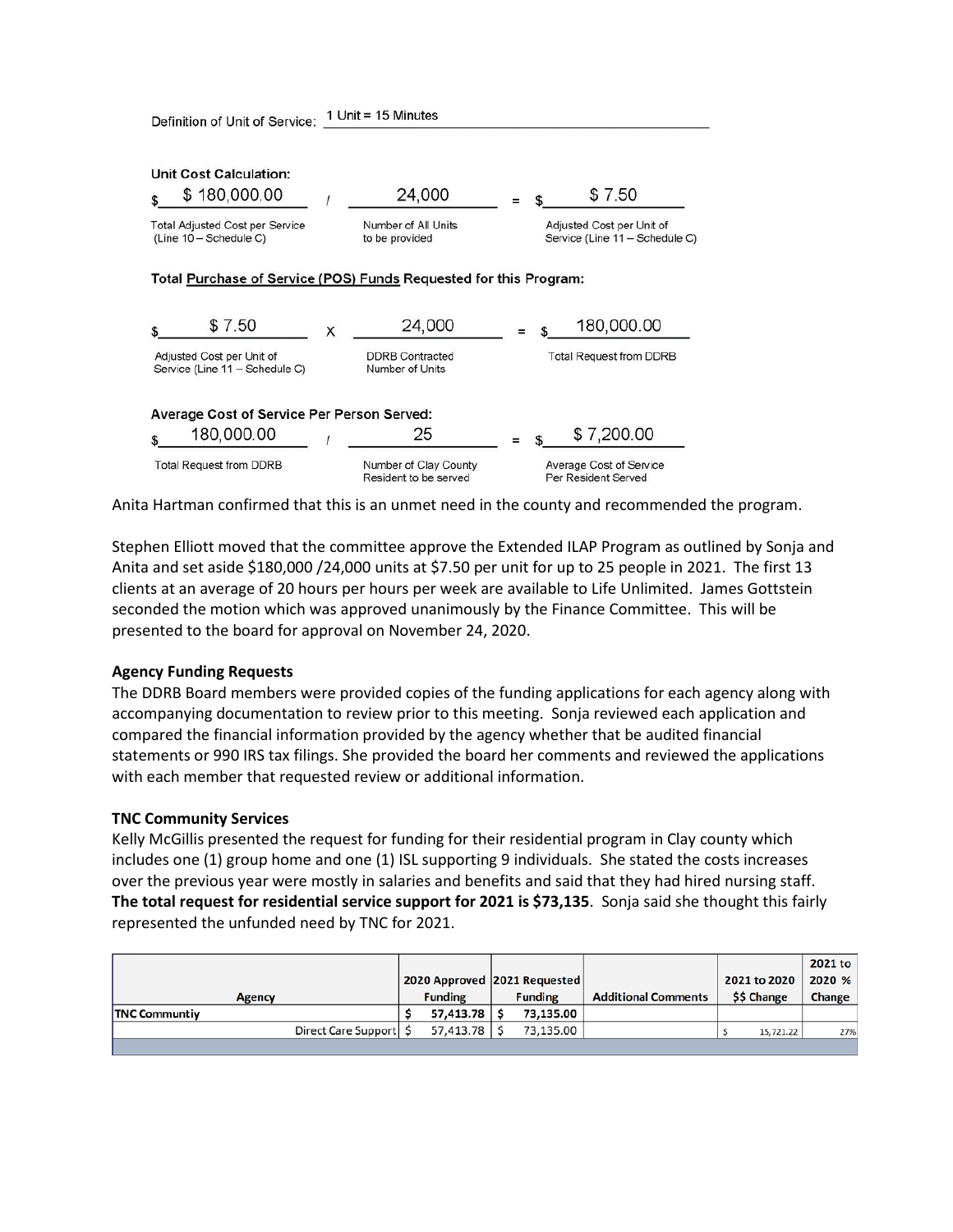| <b>Unit Cost Calculation:</b><br>\$180,000.00                     |   | 24,000                                         |  | \$7.50                                                      |
|-------------------------------------------------------------------|---|------------------------------------------------|--|-------------------------------------------------------------|
| <b>Total Adjusted Cost per Service</b><br>(Line 10 - Schedule C)  |   | Number of All Units<br>to be provided          |  | Adjusted Cost per Unit of<br>Service (Line 11 - Schedule C) |
| Total Purchase of Service (POS) Funds Requested for this Program: |   |                                                |  |                                                             |
| \$7.50                                                            | X | 24,000                                         |  | 180,000.00                                                  |
| Adjusted Cost per Unit of<br>Service (Line 11 - Schedule C)       |   | <b>DDRB</b> Contracted<br>Number of Units      |  | <b>Total Request from DDRB</b>                              |
| <b>Average Cost of Service Per Person Served:</b>                 |   |                                                |  |                                                             |
| 180,000.00                                                        |   | 25                                             |  | \$7,200.00                                                  |
| <b>Total Request from DDRB</b>                                    |   | Number of Clay County<br>Resident to be served |  | Average Cost of Service<br>Per Resident Served              |

Anita Hartman confirmed that this is an unmet need in the county and recommended the program.

Stephen Elliott moved that the committee approve the Extended ILAP Program as outlined by Sonja and Anita and set aside \$180,000 /24,000 units at \$7.50 per unit for up to 25 people in 2021. The first 13 clients at an average of 20 hours per hours per week are available to Life Unlimited. James Gottstein seconded the motion which was approved unanimously by the Finance Committee. This will be presented to the board for approval on November 24, 2020.

#### **Agency Funding Requests**

The DDRB Board members were provided copies of the funding applications for each agency along with accompanying documentation to review prior to this meeting. Sonja reviewed each application and compared the financial information provided by the agency whether that be audited financial statements or 990 IRS tax filings. She provided the board her comments and reviewed the applications with each member that requested review or additional information.

#### **TNC Community Services**

Kelly McGillis presented the request for funding for their residential program in Clay county which includes one (1) group home and one (1) ISL supporting 9 individuals. She stated the costs increases over the previous year were mostly in salaries and benefits and said that they had hired nursing staff. **The total request for residential service support for 2021 is \$73,135**. Sonja said she thought this fairly represented the unfunded need by TNC for 2021.

|                          |                |                           |                |                              |                            |              | 2021 to |
|--------------------------|----------------|---------------------------|----------------|------------------------------|----------------------------|--------------|---------|
|                          |                |                           |                | 2020 Approved 2021 Requested |                            | 2021 to 2020 | 2020 %  |
| <b>Agency</b>            | <b>Funding</b> |                           | <b>Funding</b> |                              | <b>Additional Comments</b> | \$\$ Change  | Change  |
| <b>TNC Communtiv</b>     |                | 57.413.78 \$              |                | 73.135.00                    |                            |              |         |
| Direct Care Support   \$ |                | $57,413.78$ $\frac{1}{5}$ |                | 73.135.00                    |                            | 15,721.22    | 27%     |
|                          |                |                           |                |                              |                            |              |         |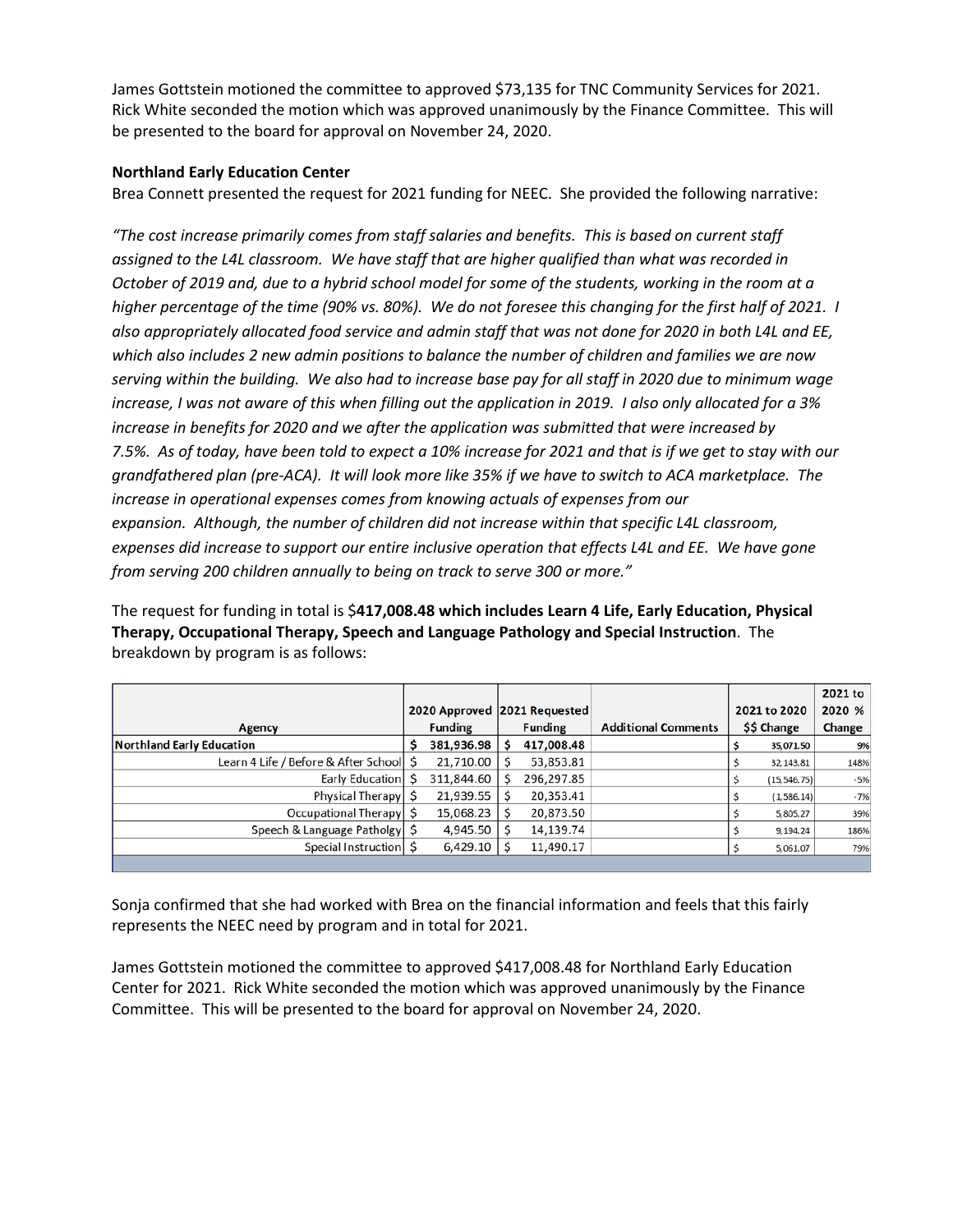James Gottstein motioned the committee to approved \$73,135 for TNC Community Services for 2021. Rick White seconded the motion which was approved unanimously by the Finance Committee. This will be presented to the board for approval on November 24, 2020.

# **Northland Early Education Center**

Brea Connett presented the request for 2021 funding for NEEC. She provided the following narrative:

*"The cost increase primarily comes from staff salaries and benefits. This is based on current staff assigned to the L4L classroom. We have staff that are higher qualified than what was recorded in October of 2019 and, due to a hybrid school model for some of the students, working in the room at a higher percentage of the time (90% vs. 80%). We do not foresee this changing for the first half of 2021. I also appropriately allocated food service and admin staff that was not done for 2020 in both L4L and EE, which also includes 2 new admin positions to balance the number of children and families we are now serving within the building. We also had to increase base pay for all staff in 2020 due to minimum wage increase, I was not aware of this when filling out the application in 2019. I also only allocated for a 3% increase in benefits for 2020 and we after the application was submitted that were increased by 7.5%. As of today, have been told to expect a 10% increase for 2021 and that is if we get to stay with our grandfathered plan (pre-ACA). It will look more like 35% if we have to switch to ACA marketplace. The increase in operational expenses comes from knowing actuals of expenses from our expansion. Although, the number of children did not increase within that specific L4L classroom, expenses did increase to support our entire inclusive operation that effects L4L and EE. We have gone from serving 200 children annually to being on track to serve 300 or more."*

The request for funding in total is \$**417,008.48 which includes Learn 4 Life, Early Education, Physical Therapy, Occupational Therapy, Speech and Language Pathology and Special Instruction**. The breakdown by program is as follows:

|                                      |  |                              |  |                |                            |              |              | 2021 to |
|--------------------------------------|--|------------------------------|--|----------------|----------------------------|--------------|--------------|---------|
|                                      |  | 2020 Approved 2021 Requested |  |                |                            | 2021 to 2020 |              | 2020 %  |
| <b>Agency</b>                        |  | <b>Funding</b>               |  | <b>Funding</b> | <b>Additional Comments</b> | \$\$ Change  |              | Change  |
| <b>Northland Early Education</b>     |  | 381,936.98                   |  | 417,008.48     |                            |              | 35,071.50    | 9%      |
| Learn 4 Life / Before & After School |  | 21,710.00                    |  | 53,853.81      |                            |              | 32,143.81    | 148%    |
| Early Education S                    |  | 311,844.60                   |  | 296,297.85     |                            |              | (15, 546.75) | $-5%$   |
| Physical Therapy                     |  | 21,939.55                    |  | 20,353.41      |                            |              | (1, 586.14)  | $-7%$   |
| Occupational Therapy                 |  | 15,068.23                    |  | 20,873.50      |                            |              | 5,805.27     | 39%     |
| Speech & Language Patholgy           |  | 4,945.50                     |  | 14,139.74      |                            |              | 9,194.24     | 186%    |
| Special Instruction S                |  | 6,429.10                     |  | 11,490.17      |                            |              | 5,061.07     | 79%     |
|                                      |  |                              |  |                |                            |              |              |         |

Sonja confirmed that she had worked with Brea on the financial information and feels that this fairly represents the NEEC need by program and in total for 2021.

James Gottstein motioned the committee to approved \$417,008.48 for Northland Early Education Center for 2021. Rick White seconded the motion which was approved unanimously by the Finance Committee. This will be presented to the board for approval on November 24, 2020.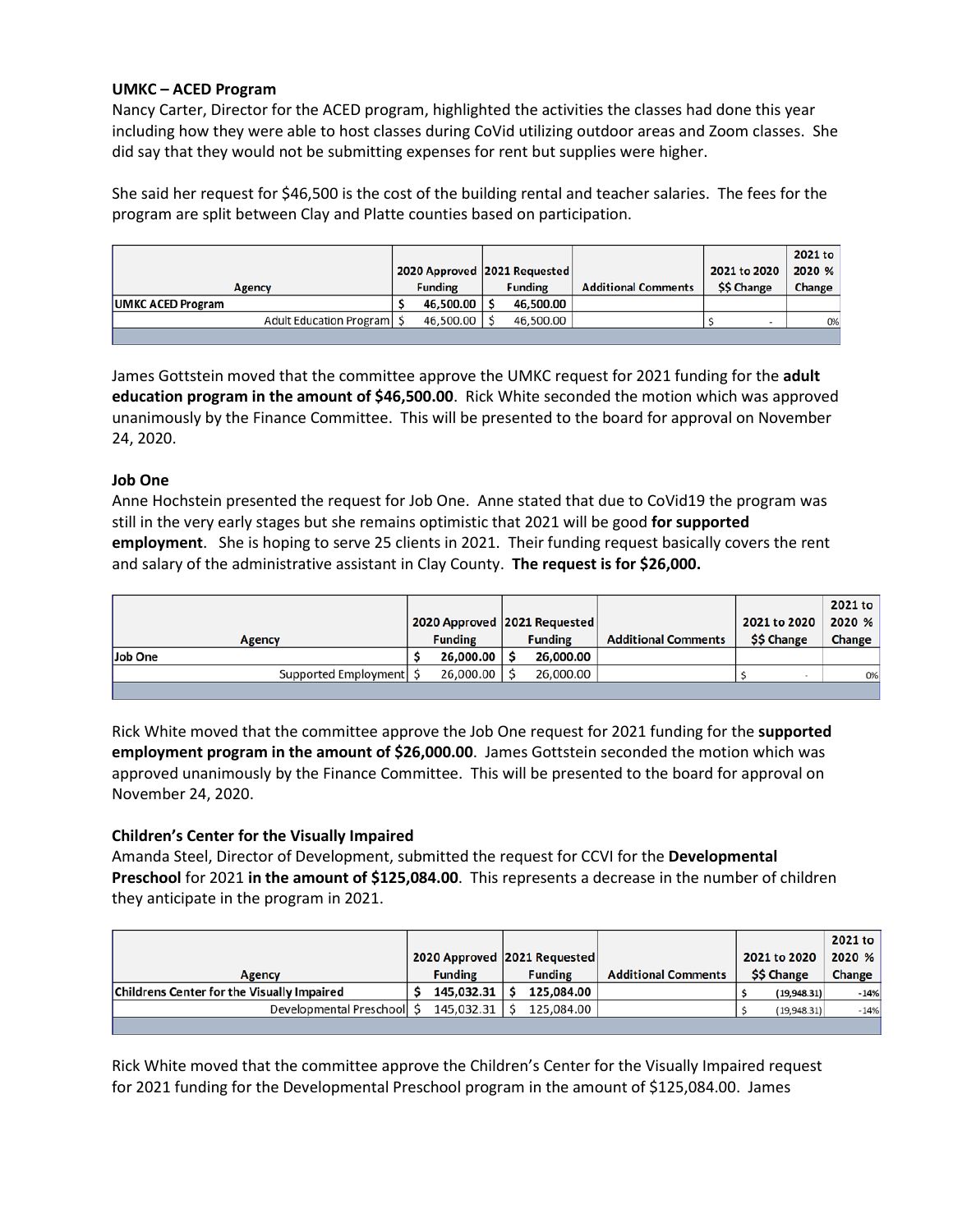# **UMKC – ACED Program**

Nancy Carter, Director for the ACED program, highlighted the activities the classes had done this year including how they were able to host classes during CoVid utilizing outdoor areas and Zoom classes. She did say that they would not be submitting expenses for rent but supplies were higher.

She said her request for \$46,500 is the cost of the building rental and teacher salaries. The fees for the program are split between Clay and Platte counties based on participation.

|                              |                |                                |                            |              | 2021 to |
|------------------------------|----------------|--------------------------------|----------------------------|--------------|---------|
|                              |                | 2020 Approved   2021 Requested |                            | 2021 to 2020 | 2020 %  |
| <b>Agency</b>                | <b>Funding</b> | <b>Funding</b>                 | <b>Additional Comments</b> | \$\$ Change  | Change  |
| <b>UMKC ACED Program</b>     | 46,500.00 S    | 46.500.00                      |                            |              |         |
| Adult Education Program   \$ | 46,500.00 \$   | 46,500.00                      |                            |              | 0%      |
|                              |                |                                |                            |              |         |

James Gottstein moved that the committee approve the UMKC request for 2021 funding for the **adult education program in the amount of \$46,500.00**. Rick White seconded the motion which was approved unanimously by the Finance Committee. This will be presented to the board for approval on November 24, 2020.

# **Job One**

Anne Hochstein presented the request for Job One. Anne stated that due to CoVid19 the program was still in the very early stages but she remains optimistic that 2021 will be good **for supported employment**. She is hoping to serve 25 clients in 2021. Their funding request basically covers the rent and salary of the administrative assistant in Clay County. **The request is for \$26,000.**

|                      |                  |                              |                            |                  | 2021 to |
|----------------------|------------------|------------------------------|----------------------------|------------------|---------|
|                      |                  | 2020 Approved 2021 Requested |                            | 2021 to 2020     | 2020 %  |
| Agency               | <b>Funding</b>   | <b>Funding</b>               | <b>Additional Comments</b> | <b>SS Change</b> | Change  |
| Job One              | $26.000.00$   \$ | 26.000.00                    |                            |                  |         |
| Supported Employment | 26,000.00 S      | 26,000.00                    |                            |                  | 0%      |
|                      |                  |                              |                            |                  |         |

Rick White moved that the committee approve the Job One request for 2021 funding for the **supported employment program in the amount of \$26,000.00**. James Gottstein seconded the motion which was approved unanimously by the Finance Committee. This will be presented to the board for approval on November 24, 2020.

# **Children's Center for the Visually Impaired**

Amanda Steel, Director of Development, submitted the request for CCVI for the **Developmental Preschool** for 2021 **in the amount of \$125,084.00**. This represents a decrease in the number of children they anticipate in the program in 2021.

|                                                   |                |            |                |                              |                            |             |              | 2021 to |
|---------------------------------------------------|----------------|------------|----------------|------------------------------|----------------------------|-------------|--------------|---------|
|                                                   |                |            |                | 2020 Approved 2021 Requested |                            |             | 2021 to 2020 | 2020 %  |
| Agency                                            | <b>Funding</b> |            | <b>Funding</b> |                              | <b>Additional Comments</b> | \$\$ Change |              | Change  |
| <b>Childrens Center for the Visually Impaired</b> |                | 145.032.31 |                | 125.084.00                   |                            |             | (19,948.31)  | $-14%$  |
| Developmental Preschool S                         |                | 145.032.31 |                | 125.084.00                   |                            |             | (19, 948.31) | $-14%$  |
|                                                   |                |            |                |                              |                            |             |              |         |

Rick White moved that the committee approve the Children's Center for the Visually Impaired request for 2021 funding for the Developmental Preschool program in the amount of \$125,084.00. James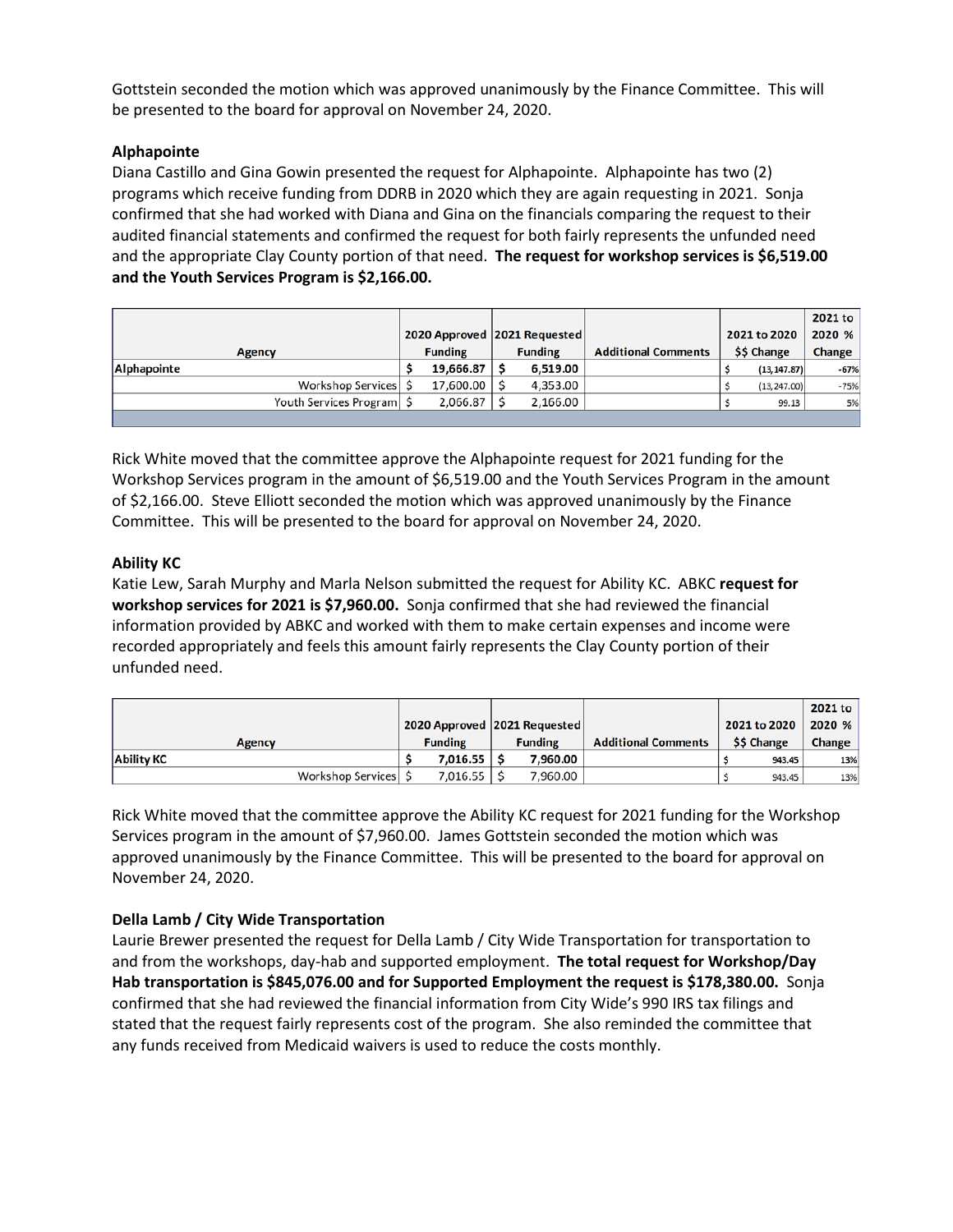Gottstein seconded the motion which was approved unanimously by the Finance Committee. This will be presented to the board for approval on November 24, 2020.

# **Alphapointe**

Diana Castillo and Gina Gowin presented the request for Alphapointe. Alphapointe has two (2) programs which receive funding from DDRB in 2020 which they are again requesting in 2021. Sonja confirmed that she had worked with Diana and Gina on the financials comparing the request to their audited financial statements and confirmed the request for both fairly represents the unfunded need and the appropriate Clay County portion of that need. **The request for workshop services is \$6,519.00 and the Youth Services Program is \$2,166.00.**

|                             |  |                              |  |                |                            |              |               | 2021 to |
|-----------------------------|--|------------------------------|--|----------------|----------------------------|--------------|---------------|---------|
|                             |  | 2020 Approved 2021 Requested |  |                |                            | 2021 to 2020 |               | 2020 %  |
| <b>Agency</b>               |  | <b>Funding</b>               |  | <b>Funding</b> | <b>Additional Comments</b> | \$\$ Change  |               | Change  |
| Alphapointe                 |  | $19,666.87$   \$             |  | 6,519.00       |                            |              | (13, 147.87)  | $-67%$  |
| Workshop Services S         |  | 17,600.00 S                  |  | 4,353.00       |                            |              | (13, 247, 00) | $-75%$  |
| Youth Services Program   \$ |  | $2,066.87$   \$              |  | 2.166.00       |                            |              | 99.13         | 5%      |
|                             |  |                              |  |                |                            |              |               |         |

Rick White moved that the committee approve the Alphapointe request for 2021 funding for the Workshop Services program in the amount of \$6,519.00 and the Youth Services Program in the amount of \$2,166.00. Steve Elliott seconded the motion which was approved unanimously by the Finance Committee. This will be presented to the board for approval on November 24, 2020.

# **Ability KC**

Katie Lew, Sarah Murphy and Marla Nelson submitted the request for Ability KC. ABKC **request for workshop services for 2021 is \$7,960.00.** Sonja confirmed that she had reviewed the financial information provided by ABKC and worked with them to make certain expenses and income were recorded appropriately and feels this amount fairly represents the Clay County portion of their unfunded need.

|                     |                |                 |                |                              |                            |              |        | 2021 to       |
|---------------------|----------------|-----------------|----------------|------------------------------|----------------------------|--------------|--------|---------------|
|                     |                |                 |                | 2020 Approved 2021 Requested |                            | 2021 to 2020 |        | 2020 %        |
| <b>Agency</b>       | <b>Funding</b> |                 | <b>Funding</b> |                              | <b>Additional Comments</b> | \$\$ Change  |        | <b>Change</b> |
| <b>Ability KC</b>   |                | $7.016.55$   \$ |                | 7.960.00                     |                            |              | 943.45 | 13%           |
| Workshop Services S |                | $7,016.55$   \$ |                | 7,960.00                     |                            |              | 943.45 | 13%           |

Rick White moved that the committee approve the Ability KC request for 2021 funding for the Workshop Services program in the amount of \$7,960.00. James Gottstein seconded the motion which was approved unanimously by the Finance Committee. This will be presented to the board for approval on November 24, 2020.

# **Della Lamb / City Wide Transportation**

Laurie Brewer presented the request for Della Lamb / City Wide Transportation for transportation to and from the workshops, day-hab and supported employment. **The total request for Workshop/Day Hab transportation is \$845,076.00 and for Supported Employment the request is \$178,380.00.** Sonja confirmed that she had reviewed the financial information from City Wide's 990 IRS tax filings and stated that the request fairly represents cost of the program. She also reminded the committee that any funds received from Medicaid waivers is used to reduce the costs monthly.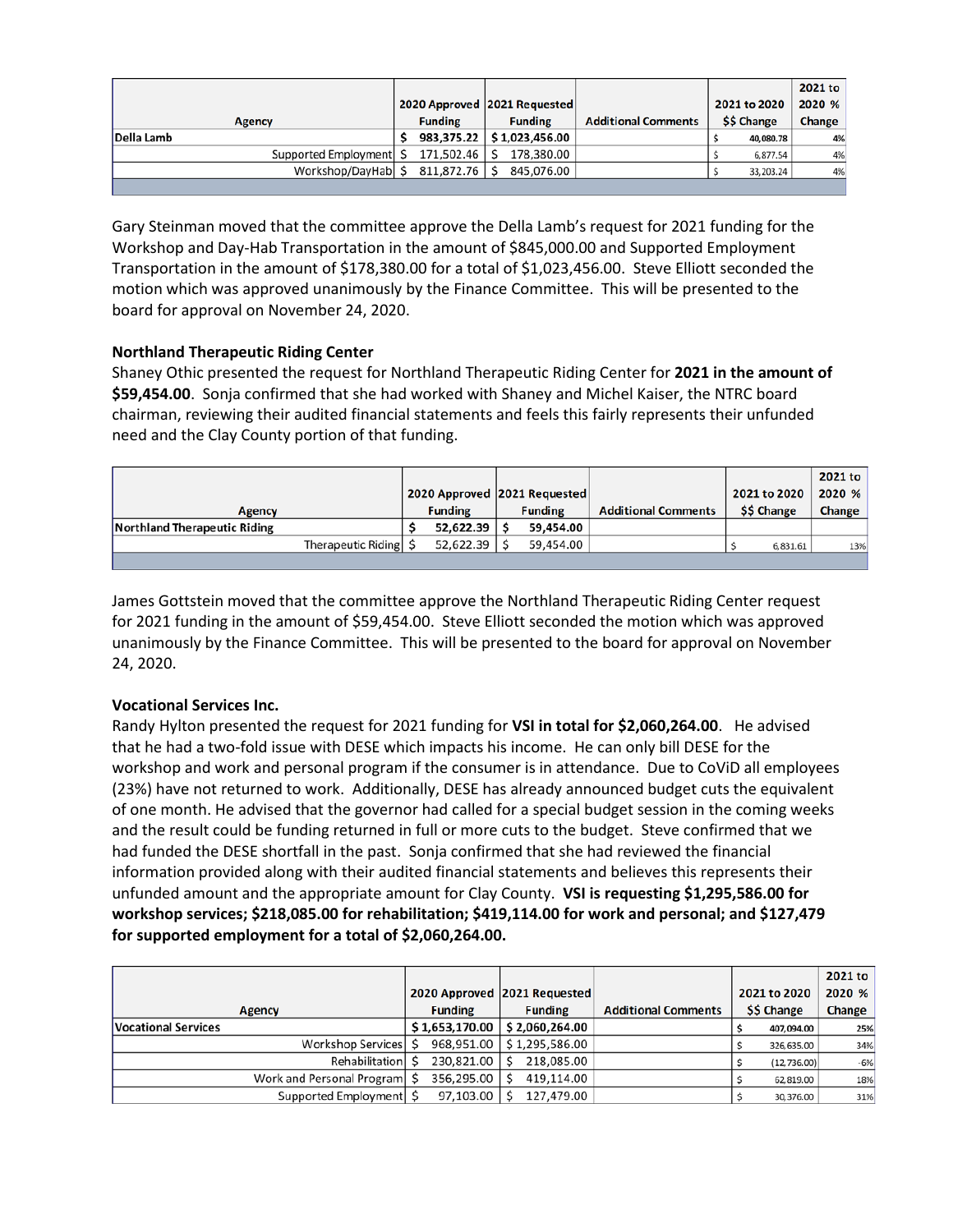|                           |                   |                              |                            |              | 2021 to |
|---------------------------|-------------------|------------------------------|----------------------------|--------------|---------|
|                           |                   | 2020 Approved 2021 Requested |                            | 2021 to 2020 | 2020 %  |
| <b>Agency</b>             | <b>Funding</b>    | <b>Funding</b>               | <b>Additional Comments</b> | \$\$ Change  | Change  |
| Della Lamb                |                   | 983,375.22 \$1,023,456.00    |                            | 40,080.78    | 4%      |
| Supported Employment   \$ | $171,502.46$   \$ | 178.380.00                   |                            | 6,877.54     | 4%      |
| Workshop/DayHab S         | 811,872.76 \$     | 845.076.00                   |                            | 33,203.24    | 4%      |
|                           |                   |                              |                            |              |         |

Gary Steinman moved that the committee approve the Della Lamb's request for 2021 funding for the Workshop and Day-Hab Transportation in the amount of \$845,000.00 and Supported Employment Transportation in the amount of \$178,380.00 for a total of \$1,023,456.00. Steve Elliott seconded the motion which was approved unanimously by the Finance Committee. This will be presented to the board for approval on November 24, 2020.

# **Northland Therapeutic Riding Center**

Shaney Othic presented the request for Northland Therapeutic Riding Center for **2021 in the amount of \$59,454.00**. Sonja confirmed that she had worked with Shaney and Michel Kaiser, the NTRC board chairman, reviewing their audited financial statements and feels this fairly represents their unfunded need and the Clay County portion of that funding.

|                              |                |                              |                            |              | 2021 to |
|------------------------------|----------------|------------------------------|----------------------------|--------------|---------|
|                              |                | 2020 Approved 2021 Requested |                            | 2021 to 2020 | 2020 %  |
| Agency                       | <b>Funding</b> | <b>Funding</b>               | <b>Additional Comments</b> | \$\$ Change  | Change  |
| Northland Therapeutic Riding | 52,622.39      | 59.454.00                    |                            |              |         |
| Therapeutic Riding S         | 52,622.39      | 59.454.00                    |                            | 6,831.61     | 13%     |
|                              |                |                              |                            |              |         |

James Gottstein moved that the committee approve the Northland Therapeutic Riding Center request for 2021 funding in the amount of \$59,454.00. Steve Elliott seconded the motion which was approved unanimously by the Finance Committee. This will be presented to the board for approval on November 24, 2020.

# **Vocational Services Inc.**

Randy Hylton presented the request for 2021 funding for **VSI in total for \$2,060,264.00**. He advised that he had a two-fold issue with DESE which impacts his income. He can only bill DESE for the workshop and work and personal program if the consumer is in attendance. Due to CoViD all employees (23%) have not returned to work. Additionally, DESE has already announced budget cuts the equivalent of one month. He advised that the governor had called for a special budget session in the coming weeks and the result could be funding returned in full or more cuts to the budget. Steve confirmed that we had funded the DESE shortfall in the past. Sonja confirmed that she had reviewed the financial information provided along with their audited financial statements and believes this represents their unfunded amount and the appropriate amount for Clay County. **VSI is requesting \$1,295,586.00 for workshop services; \$218,085.00 for rehabilitation; \$419,114.00 for work and personal; and \$127,479 for supported employment for a total of \$2,060,264.00.**

|                                |  |                |                              |                            |              | 2021 to |
|--------------------------------|--|----------------|------------------------------|----------------------------|--------------|---------|
|                                |  |                | 2020 Approved 2021 Requested |                            | 2021 to 2020 | 2020 %  |
| <b>Agency</b>                  |  | <b>Funding</b> | <b>Funding</b>               | <b>Additional Comments</b> | \$\$ Change  | Change  |
| <b>Vocational Services</b>     |  | \$1,653,170.00 | \$2,060,264.00               |                            | 407,094.00   | 25%     |
| Workshop Services S            |  | 968,951.00     | \$1.295.586.00               |                            | 326,635.00   | 34%     |
| Rehabilitation                 |  | 230,821.00     | 218,085.00                   |                            | (12, 736.00) | $-6%$   |
| Work and Personal Program   \$ |  | 356,295.00     | 419.114.00                   |                            | 62.819.00    | 18%     |
| Supported Employment           |  | 97,103.00      | 127,479.00                   |                            | 30,376.00    | 31%     |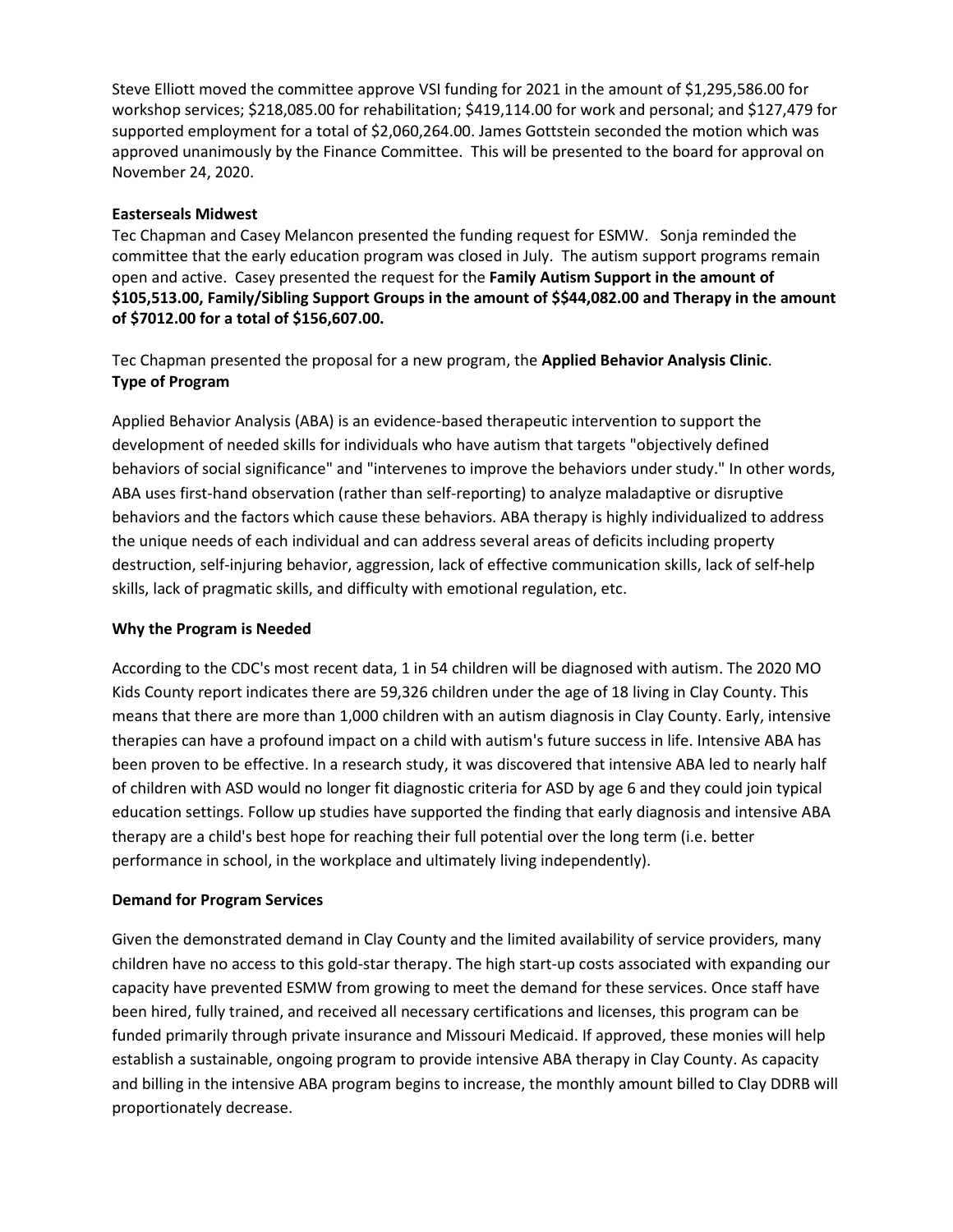Steve Elliott moved the committee approve VSI funding for 2021 in the amount of \$1,295,586.00 for workshop services; \$218,085.00 for rehabilitation; \$419,114.00 for work and personal; and \$127,479 for supported employment for a total of \$2,060,264.00. James Gottstein seconded the motion which was approved unanimously by the Finance Committee. This will be presented to the board for approval on November 24, 2020.

# **Easterseals Midwest**

Tec Chapman and Casey Melancon presented the funding request for ESMW. Sonja reminded the committee that the early education program was closed in July. The autism support programs remain open and active. Casey presented the request for the **Family Autism Support in the amount of \$105,513.00, Family/Sibling Support Groups in the amount of \$\$44,082.00 and Therapy in the amount of \$7012.00 for a total of \$156,607.00.** 

Tec Chapman presented the proposal for a new program, the **Applied Behavior Analysis Clinic**. **Type of Program**

Applied Behavior Analysis (ABA) is an evidence-based therapeutic intervention to support the development of needed skills for individuals who have autism that targets "objectively defined behaviors of social significance" and "intervenes to improve the behaviors under study." In other words, ABA uses first-hand observation (rather than self-reporting) to analyze maladaptive or disruptive behaviors and the factors which cause these behaviors. ABA therapy is highly individualized to address the unique needs of each individual and can address several areas of deficits including property destruction, self-injuring behavior, aggression, lack of effective communication skills, lack of self-help skills, lack of pragmatic skills, and difficulty with emotional regulation, etc.

# **Why the Program is Needed**

According to the CDC's most recent data, 1 in 54 children will be diagnosed with autism. The 2020 MO Kids County report indicates there are 59,326 children under the age of 18 living in Clay County. This means that there are more than 1,000 children with an autism diagnosis in Clay County. Early, intensive therapies can have a profound impact on a child with autism's future success in life. Intensive ABA has been proven to be effective. In a research study, it was discovered that intensive ABA led to nearly half of children with ASD would no longer fit diagnostic criteria for ASD by age 6 and they could join typical education settings. Follow up studies have supported the finding that early diagnosis and intensive ABA therapy are a child's best hope for reaching their full potential over the long term (i.e. better performance in school, in the workplace and ultimately living independently).

# **Demand for Program Services**

Given the demonstrated demand in Clay County and the limited availability of service providers, many children have no access to this gold-star therapy. The high start-up costs associated with expanding our capacity have prevented ESMW from growing to meet the demand for these services. Once staff have been hired, fully trained, and received all necessary certifications and licenses, this program can be funded primarily through private insurance and Missouri Medicaid. If approved, these monies will help establish a sustainable, ongoing program to provide intensive ABA therapy in Clay County. As capacity and billing in the intensive ABA program begins to increase, the monthly amount billed to Clay DDRB will proportionately decrease.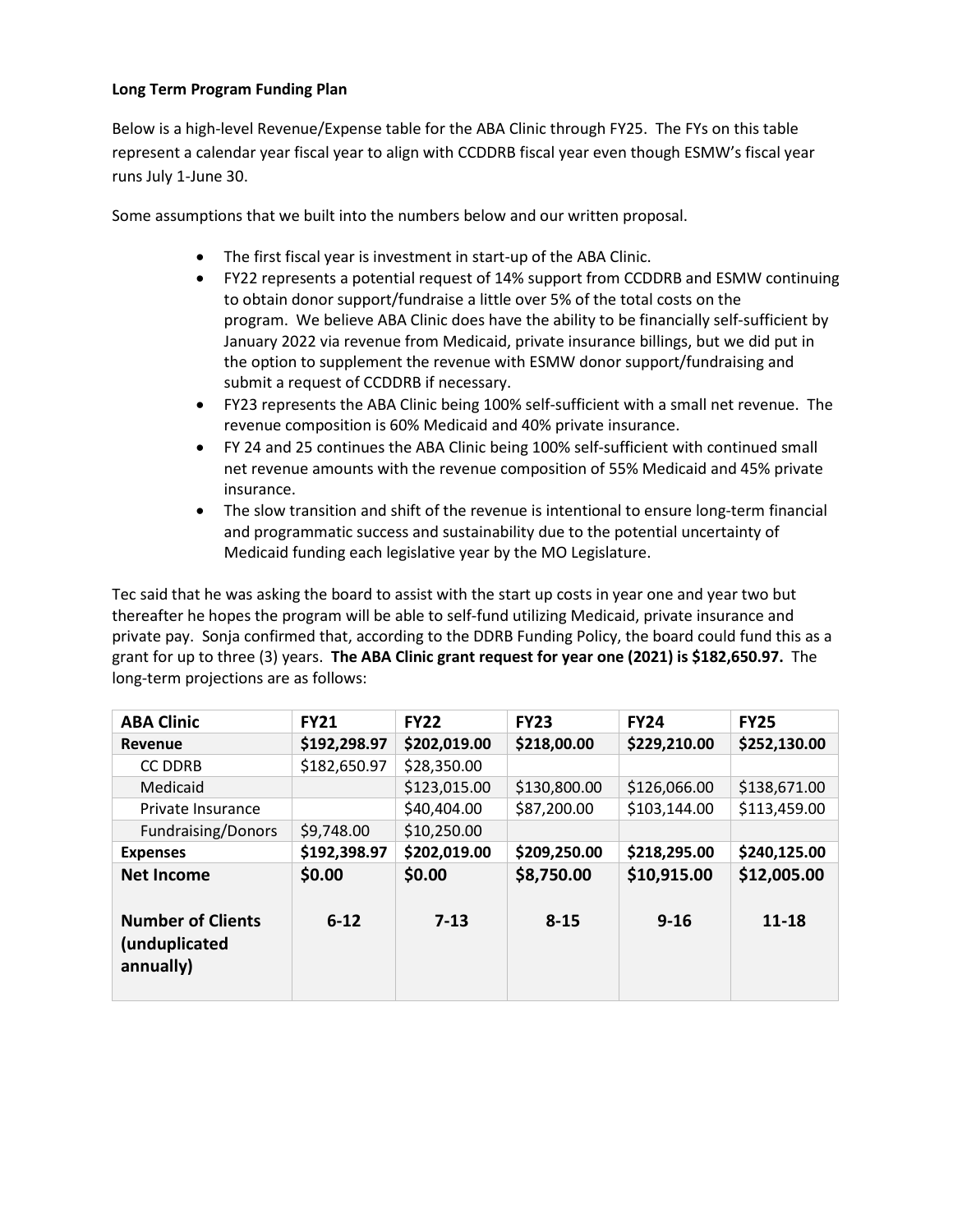# **Long Term Program Funding Plan**

Below is a high-level Revenue/Expense table for the ABA Clinic through FY25. The FYs on this table represent a calendar year fiscal year to align with CCDDRB fiscal year even though ESMW's fiscal year runs July 1-June 30.

Some assumptions that we built into the numbers below and our written proposal.

- The first fiscal year is investment in start-up of the ABA Clinic.
- FY22 represents a potential request of 14% support from CCDDRB and ESMW continuing to obtain donor support/fundraise a little over 5% of the total costs on the program. We believe ABA Clinic does have the ability to be financially self-sufficient by January 2022 via revenue from Medicaid, private insurance billings, but we did put in the option to supplement the revenue with ESMW donor support/fundraising and submit a request of CCDDRB if necessary.
- FY23 represents the ABA Clinic being 100% self-sufficient with a small net revenue. The revenue composition is 60% Medicaid and 40% private insurance.
- FY 24 and 25 continues the ABA Clinic being 100% self-sufficient with continued small net revenue amounts with the revenue composition of 55% Medicaid and 45% private insurance.
- The slow transition and shift of the revenue is intentional to ensure long-term financial and programmatic success and sustainability due to the potential uncertainty of Medicaid funding each legislative year by the MO Legislature.

Tec said that he was asking the board to assist with the start up costs in year one and year two but thereafter he hopes the program will be able to self-fund utilizing Medicaid, private insurance and private pay. Sonja confirmed that, according to the DDRB Funding Policy, the board could fund this as a grant for up to three (3) years. **The ABA Clinic grant request for year one (2021) is \$182,650.97.** The long-term projections are as follows:

| <b>ABA Clinic</b>         | <b>FY21</b>  | <b>FY22</b>  | <b>FY23</b>  | <b>FY24</b>  | <b>FY25</b>  |
|---------------------------|--------------|--------------|--------------|--------------|--------------|
| Revenue                   | \$192,298.97 | \$202,019.00 | \$218,00.00  | \$229,210.00 | \$252,130.00 |
| <b>CC DDRB</b>            | \$182,650.97 | \$28,350.00  |              |              |              |
| Medicaid                  |              | \$123,015.00 | \$130,800.00 | \$126,066.00 | \$138,671.00 |
| Private Insurance         |              | \$40,404.00  | \$87,200.00  | \$103,144.00 | \$113,459.00 |
| <b>Fundraising/Donors</b> | \$9,748.00   | \$10,250.00  |              |              |              |
| <b>Expenses</b>           | \$192,398.97 | \$202,019.00 | \$209,250.00 | \$218,295.00 | \$240,125.00 |
| <b>Net Income</b>         | \$0.00       | \$0.00       | \$8,750.00   | \$10,915.00  | \$12,005.00  |
|                           |              |              |              |              |              |
| <b>Number of Clients</b>  | $6 - 12$     | $7 - 13$     | $8 - 15$     | $9 - 16$     | 11-18        |
| (unduplicated             |              |              |              |              |              |
| annually)                 |              |              |              |              |              |
|                           |              |              |              |              |              |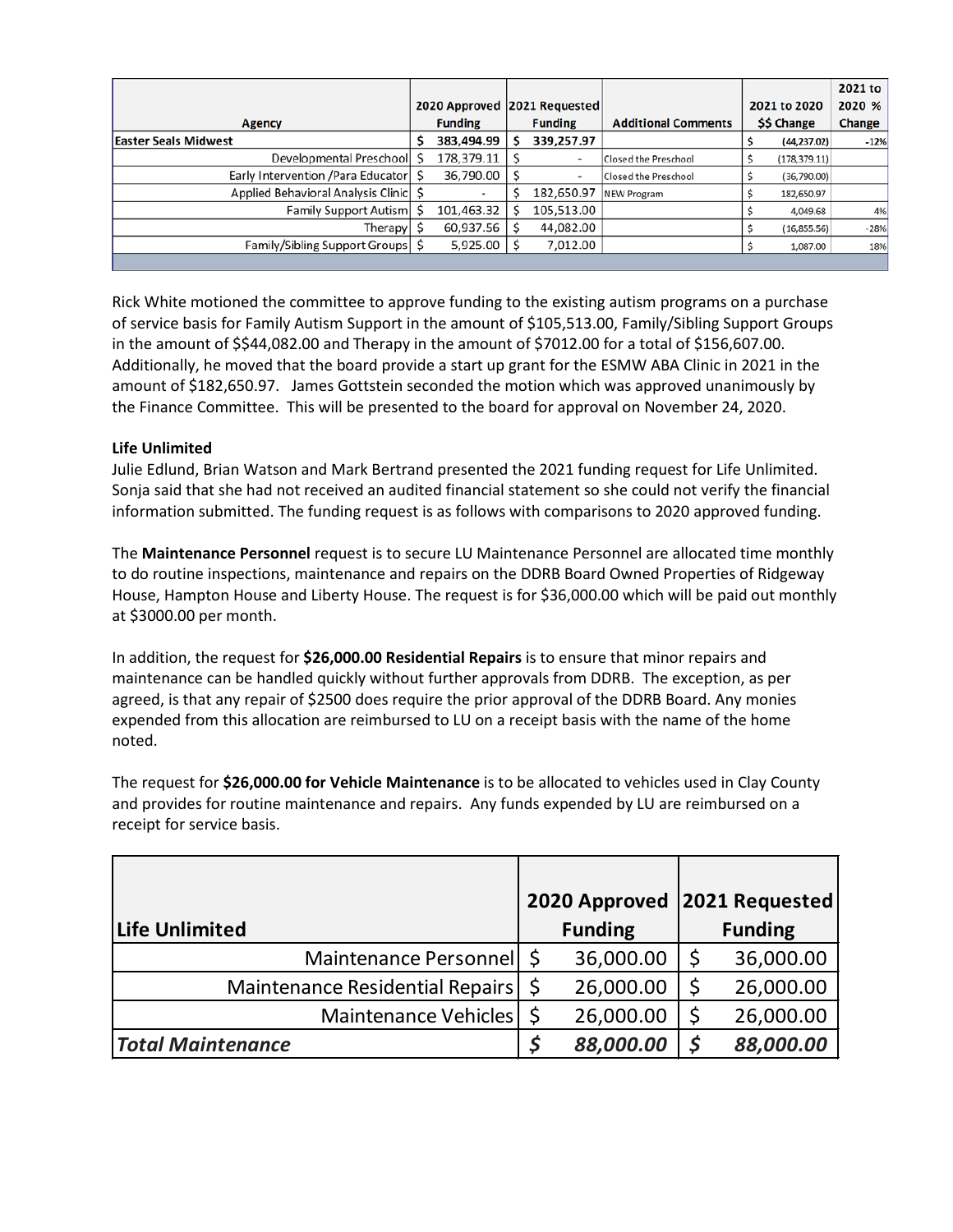|                                         |  |                              |  |                |                            |              |               | 2021 to |
|-----------------------------------------|--|------------------------------|--|----------------|----------------------------|--------------|---------------|---------|
|                                         |  | 2020 Approved 2021 Requested |  |                |                            | 2021 to 2020 |               | 2020 %  |
| <b>Agency</b>                           |  | <b>Funding</b>               |  | <b>Funding</b> | <b>Additional Comments</b> | \$\$ Change  |               | Change  |
| <b>Easter Seals Midwest</b>             |  | 383,494.99                   |  | 339,257.97     |                            |              | (44, 237.02)  | $-12%$  |
| Developmental Preschool \$              |  | 178,379.11                   |  | ۰              | Closed the Preschool       |              | (178, 379.11) |         |
| Early Intervention / Para Educator   \$ |  | $36,790.00$   \$             |  | ٠              | Closed the Preschool       |              | (36, 790.00)  |         |
| Applied Behavioral Analysis Clinic   \$ |  |                              |  | 182,650.97     | NEW Program                |              | 182,650.97    |         |
| Family Support Autism                   |  | 101,463.32                   |  | 105,513.00     |                            |              | 4,049.68      | 4%      |
| Therapy                                 |  | 60,937.56                    |  | 44,082.00      |                            |              | (16, 855.56)  | $-28%$  |
| Family/Sibling Support Groups   \$      |  | 5,925.00                     |  | 7,012.00       |                            |              | 1,087.00      | 18%     |
|                                         |  |                              |  |                |                            |              |               |         |

Rick White motioned the committee to approve funding to the existing autism programs on a purchase of service basis for Family Autism Support in the amount of \$105,513.00, Family/Sibling Support Groups in the amount of \$\$44,082.00 and Therapy in the amount of \$7012.00 for a total of \$156,607.00. Additionally, he moved that the board provide a start up grant for the ESMW ABA Clinic in 2021 in the amount of \$182,650.97. James Gottstein seconded the motion which was approved unanimously by the Finance Committee. This will be presented to the board for approval on November 24, 2020.

# **Life Unlimited**

Julie Edlund, Brian Watson and Mark Bertrand presented the 2021 funding request for Life Unlimited. Sonja said that she had not received an audited financial statement so she could not verify the financial information submitted. The funding request is as follows with comparisons to 2020 approved funding.

The **Maintenance Personnel** request is to secure LU Maintenance Personnel are allocated time monthly to do routine inspections, maintenance and repairs on the DDRB Board Owned Properties of Ridgeway House, Hampton House and Liberty House. The request is for \$36,000.00 which will be paid out monthly at \$3000.00 per month.

In addition, the request for **\$26,000.00 Residential Repairs** is to ensure that minor repairs and maintenance can be handled quickly without further approvals from DDRB. The exception, as per agreed, is that any repair of \$2500 does require the prior approval of the DDRB Board. Any monies expended from this allocation are reimbursed to LU on a receipt basis with the name of the home noted.

The request for **\$26,000.00 for Vehicle Maintenance** is to be allocated to vehicles used in Clay County and provides for routine maintenance and repairs. Any funds expended by LU are reimbursed on a receipt for service basis.

|                                 | 2020 Approved  |          | 2021 Requested |
|---------------------------------|----------------|----------|----------------|
| Life Unlimited                  | <b>Funding</b> |          | <b>Funding</b> |
| Maintenance Personnel \$        | 36,000.00      |          | 36,000.00      |
| Maintenance Residential Repairs | 26,000.00      | \$       | 26,000.00      |
| Maintenance Vehicles            | 26,000.00      |          | 26,000.00      |
| <b>Total Maintenance</b>        | 88,000.00      | <b>S</b> | 88,000.00      |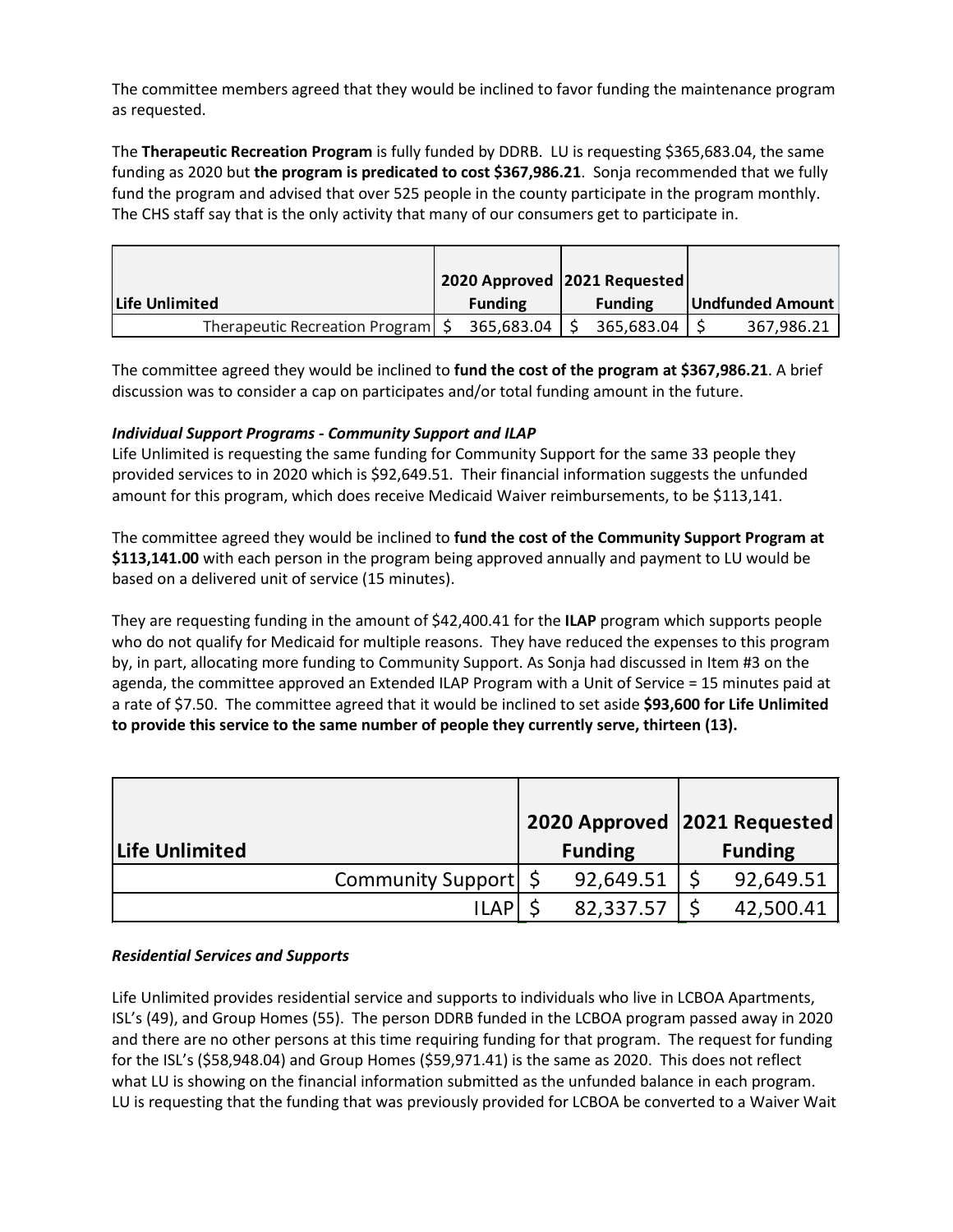The committee members agreed that they would be inclined to favor funding the maintenance program as requested.

The **Therapeutic Recreation Program** is fully funded by DDRB. LU is requesting \$365,683.04, the same funding as 2020 but **the program is predicated to cost \$367,986.21**. Sonja recommended that we fully fund the program and advised that over 525 people in the county participate in the program monthly. The CHS staff say that is the only activity that many of our consumers get to participate in.

|                                     | 2020 Approved 2021 Requested |                        |                  |
|-------------------------------------|------------------------------|------------------------|------------------|
| Life Unlimited                      | <b>Funding</b>               | <b>Funding</b>         | Undfunded Amount |
| Therapeutic Recreation Program   \$ | 365,683.04                   | $365,683.04$ $\mid$ \$ | 367,986.21       |

The committee agreed they would be inclined to **fund the cost of the program at \$367,986.21**. A brief discussion was to consider a cap on participates and/or total funding amount in the future.

# *Individual Support Programs - Community Support and ILAP*

Life Unlimited is requesting the same funding for Community Support for the same 33 people they provided services to in 2020 which is \$92,649.51. Their financial information suggests the unfunded amount for this program, which does receive Medicaid Waiver reimbursements, to be \$113,141.

The committee agreed they would be inclined to **fund the cost of the Community Support Program at \$113,141.00** with each person in the program being approved annually and payment to LU would be based on a delivered unit of service (15 minutes).

They are requesting funding in the amount of \$42,400.41 for the **ILAP** program which supports people who do not qualify for Medicaid for multiple reasons. They have reduced the expenses to this program by, in part, allocating more funding to Community Support. As Sonja had discussed in Item #3 on the agenda, the committee approved an Extended ILAP Program with a Unit of Service = 15 minutes paid at a rate of \$7.50. The committee agreed that it would be inclined to set aside **\$93,600 for Life Unlimited to provide this service to the same number of people they currently serve, thirteen (13).**

|                        | 2020 Approved   2021 Requested |                |
|------------------------|--------------------------------|----------------|
| <b>Life Unlimited</b>  | <b>Funding</b>                 | <b>Funding</b> |
| Community Support   \$ | 92,649.51                      | 92,649.51      |
| <b>ILAP</b>            | 82,337.57                      | 42,500.41      |

# *Residential Services and Supports*

Life Unlimited provides residential service and supports to individuals who live in LCBOA Apartments, ISL's (49), and Group Homes (55). The person DDRB funded in the LCBOA program passed away in 2020 and there are no other persons at this time requiring funding for that program. The request for funding for the ISL's (\$58,948.04) and Group Homes (\$59,971.41) is the same as 2020. This does not reflect what LU is showing on the financial information submitted as the unfunded balance in each program. LU is requesting that the funding that was previously provided for LCBOA be converted to a Waiver Wait